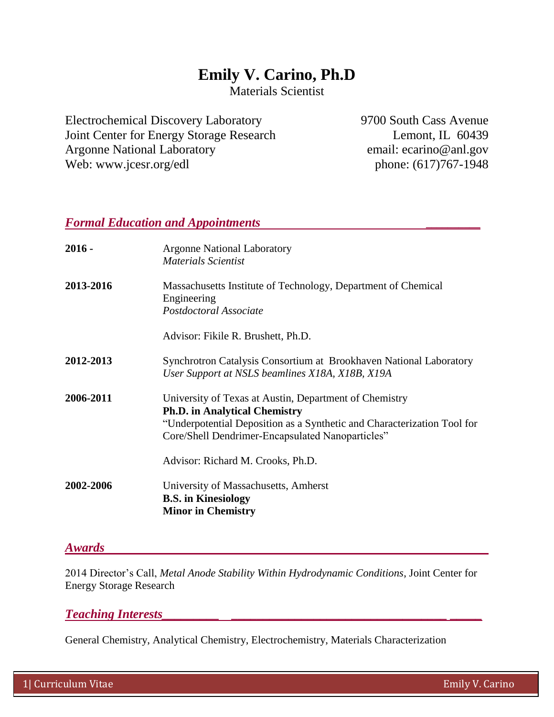# **Emily V. Carino, Ph.D**

Materials Scientist

Electrochemical Discovery Laboratory Joint Center for Energy Storage Research Argonne National Laboratory Web: www.jcesr.org/edl

9700 South Cass Avenue Lemont, IL 60439 email: ecarino@anl.gov phone: (617)767-1948

### *Formal Education and Appointments* **\_\_\_\_\_\_\_\_\_\_**

| $2016 -$  | <b>Argonne National Laboratory</b><br>Materials Scientist                                                                                                                                                                     |
|-----------|-------------------------------------------------------------------------------------------------------------------------------------------------------------------------------------------------------------------------------|
| 2013-2016 | Massachusetts Institute of Technology, Department of Chemical<br>Engineering<br>Postdoctoral Associate                                                                                                                        |
|           | Advisor: Fikile R. Brushett, Ph.D.                                                                                                                                                                                            |
| 2012-2013 | Synchrotron Catalysis Consortium at Brookhaven National Laboratory<br>User Support at NSLS beamlines X18A, X18B, X19A                                                                                                         |
| 2006-2011 | University of Texas at Austin, Department of Chemistry<br><b>Ph.D.</b> in Analytical Chemistry<br>"Underpotential Deposition as a Synthetic and Characterization Tool for<br>Core/Shell Dendrimer-Encapsulated Nanoparticles" |
|           | Advisor: Richard M. Crooks, Ph.D.                                                                                                                                                                                             |
| 2002-2006 | University of Massachusetts, Amherst<br><b>B.S.</b> in Kinesiology<br><b>Minor in Chemistry</b>                                                                                                                               |

### *Awards*

2014 Director's Call, *Metal Anode Stability Within Hydrodynamic Conditions*, Joint Center for Energy Storage Research

# *Teaching Interests\_\_\_\_\_\_\_\_\_ \_\_\_\_\_\_\_\_\_\_\_\_\_\_\_\_\_\_\_\_\_\_\_\_\_\_\_\_\_\_\_\_\_\_ \_\_\_\_\_*

General Chemistry, Analytical Chemistry, Electrochemistry, Materials Characterization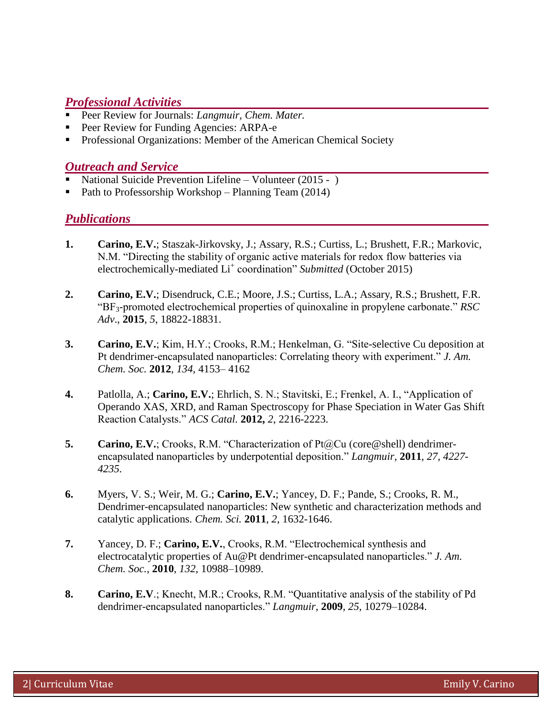# *Professional Activities*

- Peer Review for Journals: *Langmuir, Chem. Mater.*
- Peer Review for Funding Agencies: ARPA-e
- **Professional Organizations: Member of the American Chemical Society**

## *Outreach and Service*

- National Suicide Prevention Lifeline Volunteer (2015 )
- Path to Professorship Workshop Planning Team (2014)

# *Publications*

- **1. Carino, E.V.**; Staszak-Jirkovsky, J.; Assary, R.S.; Curtiss, L.; Brushett, F.R.; Markovic, N.M. "Directing the stability of organic active materials for redox flow batteries via electrochemically-mediated Li<sup>+</sup> coordination" *Submitted* (October 2015)
- **2. Carino, E.V.**; Disendruck, C.E.; Moore, J.S.; Curtiss, L.A.; Assary, R.S.; Brushett, F.R. "BF3-promoted electrochemical properties of quinoxaline in propylene carbonate." *RSC Adv*., **2015**, *5*, 18822-18831.
- **3. Carino, E.V.**; Kim, H.Y.; Crooks, R.M.; Henkelman, G. "Site-selective Cu deposition at Pt dendrimer-encapsulated nanoparticles: Correlating theory with experiment." *J. Am. Chem. Soc.* **2012**, *134*, 4153– 4162
- **4.** Patlolla, A.; **Carino, E.V.**; Ehrlich, S. N.; Stavitski, E.; Frenkel, A. I., "Application of Operando XAS, XRD, and Raman Spectroscopy for Phase Speciation in Water Gas Shift Reaction Catalysts." *ACS Catal.* **2012,** *2*, 2216-2223.
- **5. Carino, E.V.**; Crooks, R.M. "Characterization of Pt@Cu (core@shell) dendrimerencapsulated nanoparticles by underpotential deposition." *Langmuir*, **2011**, *27, 4227- 4235.*
- **6.** Myers, V. S.; Weir, M. G.; **Carino, E.V.**; Yancey, D. F.; Pande, S.; Crooks, R. M., Dendrimer-encapsulated nanoparticles: New synthetic and characterization methods and catalytic applications. *Chem. Sci.* **2011**, *2*, 1632-1646.
- **7.** Yancey, D. F.; **Carino, E.V.**, Crooks, R.M. "Electrochemical synthesis and electrocatalytic properties of Au@Pt dendrimer-encapsulated nanoparticles." *J. Am. Chem. Soc.*, **2010**, *132*, 10988–10989.
- **8. Carino, E.V**.; Knecht, M.R.; Crooks, R.M. "Quantitative analysis of the stability of Pd dendrimer-encapsulated nanoparticles." *Langmuir*, **2009**, *25*, 10279–10284.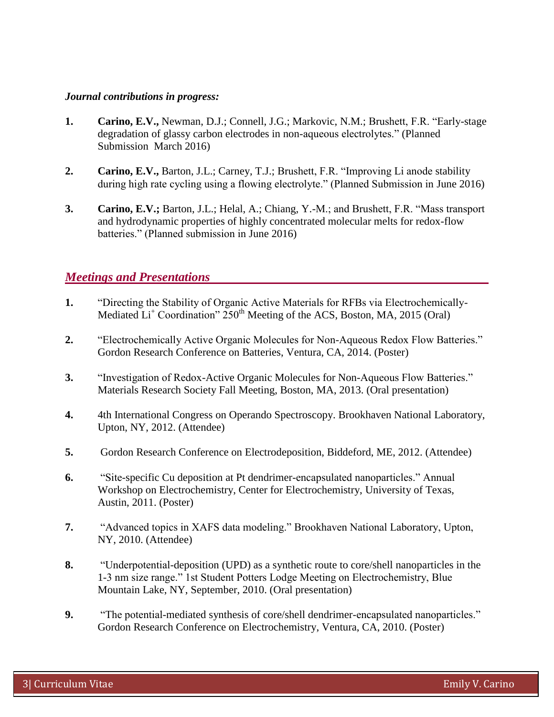#### *Journal contributions in progress:*

- **1. Carino, E.V.,** Newman, D.J.; Connell, J.G.; Markovic, N.M.; Brushett, F.R. "Early-stage degradation of glassy carbon electrodes in non-aqueous electrolytes." (Planned Submission March 2016)
- **2. Carino, E.V.,** Barton, J.L.; Carney, T.J.; Brushett, F.R. "Improving Li anode stability during high rate cycling using a flowing electrolyte." (Planned Submission in June 2016)
- **3. Carino, E.V.;** Barton, J.L.; Helal, A.; Chiang, Y.-M.; and Brushett, F.R. "Mass transport and hydrodynamic properties of highly concentrated molecular melts for redox-flow batteries." (Planned submission in June 2016)

## *Meetings and Presentations*

- **1.** "Directing the Stability of Organic Active Materials for RFBs via Electrochemically-Mediated  $Li<sup>+</sup> Coordination" 250<sup>th</sup> Meeting of the ACS, Boston, MA, 2015 (Oral)$
- **2.** "Electrochemically Active Organic Molecules for Non-Aqueous Redox Flow Batteries." Gordon Research Conference on Batteries, Ventura, CA, 2014. (Poster)
- **3.** "Investigation of Redox-Active Organic Molecules for Non-Aqueous Flow Batteries." Materials Research Society Fall Meeting, Boston, MA, 2013. (Oral presentation)
- **4.** 4th International Congress on Operando Spectroscopy. Brookhaven National Laboratory, Upton, NY, 2012. (Attendee)
- **5.** Gordon Research Conference on Electrodeposition, Biddeford, ME, 2012. (Attendee)
- **6.** "Site-specific Cu deposition at Pt dendrimer-encapsulated nanoparticles." Annual Workshop on Electrochemistry, Center for Electrochemistry, University of Texas, Austin, 2011. (Poster)
- **7.** "Advanced topics in XAFS data modeling." Brookhaven National Laboratory, Upton, NY, 2010. (Attendee)
- **8.** "Underpotential-deposition (UPD) as a synthetic route to core/shell nanoparticles in the 1-3 nm size range." 1st Student Potters Lodge Meeting on Electrochemistry, Blue Mountain Lake, NY, September, 2010. (Oral presentation)
- **9.** "The potential-mediated synthesis of core/shell dendrimer-encapsulated nanoparticles." Gordon Research Conference on Electrochemistry, Ventura, CA, 2010. (Poster)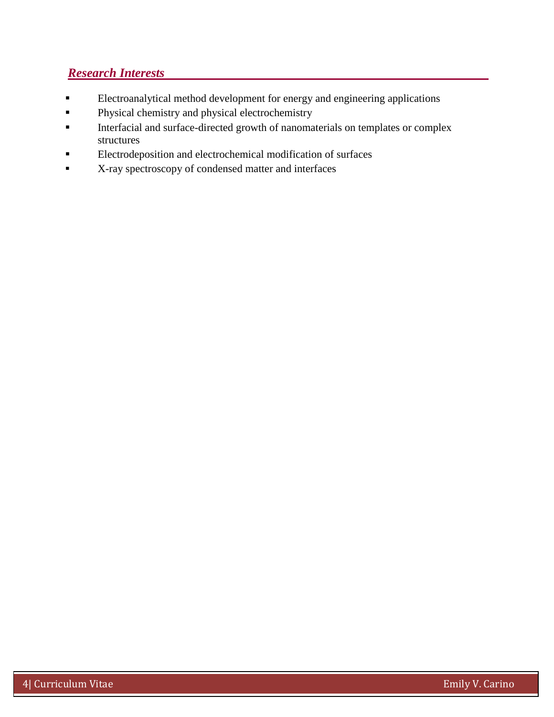# *Research Interests*

- Electroanalytical method development for energy and engineering applications
- **Physical chemistry and physical electrochemistry**
- Interfacial and surface-directed growth of nanomaterials on templates or complex structures
- **Electrodeposition and electrochemical modification of surfaces**
- **K-ray spectroscopy of condensed matter and interfaces**